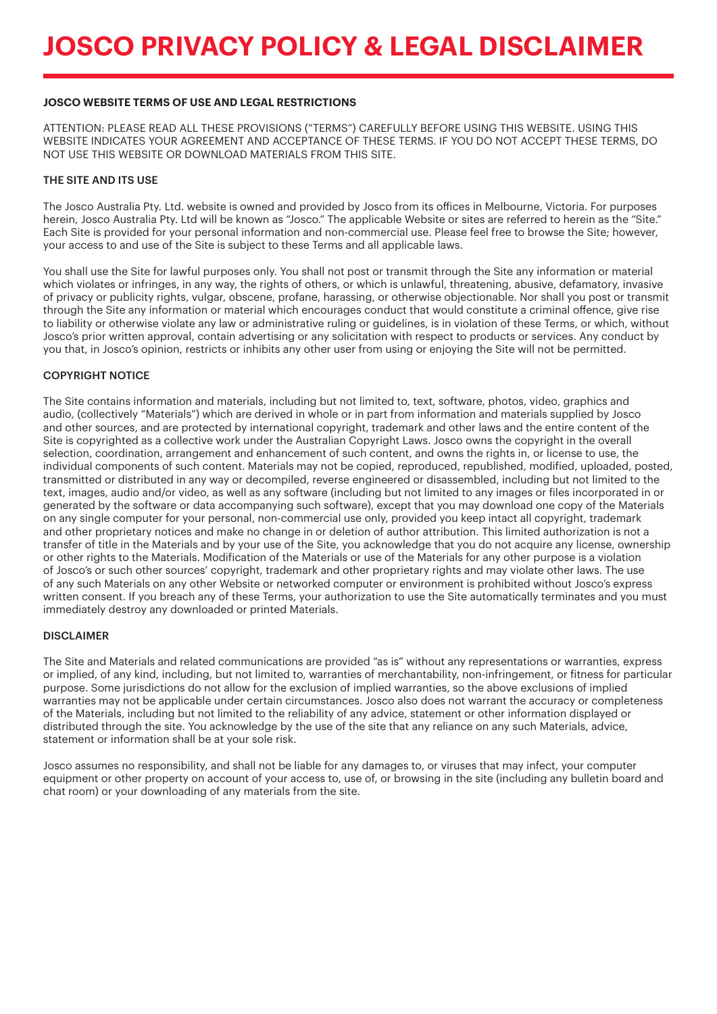# **JOSCO WEBSITE TERMS OF USE AND LEGAL RESTRICTIONS**

ATTENTION: PLEASE READ ALL THESE PROVISIONS ("TERMS") CAREFULLY BEFORE USING THIS WEBSITE. USING THIS WEBSITE INDICATES YOUR AGREEMENT AND ACCEPTANCE OF THESE TERMS. IF YOU DO NOT ACCEPT THESE TERMS, DO NOT USE THIS WEBSITE OR DOWNLOAD MATERIALS FROM THIS SITE.

### THE SITE AND ITS USE

The Josco Australia Pty. Ltd. website is owned and provided by Josco from its offices in Melbourne, Victoria. For purposes herein, Josco Australia Pty. Ltd will be known as "Josco." The applicable Website or sites are referred to herein as the "Site." Each Site is provided for your personal information and non-commercial use. Please feel free to browse the Site; however, your access to and use of the Site is subject to these Terms and all applicable laws.

You shall use the Site for lawful purposes only. You shall not post or transmit through the Site any information or material which violates or infringes, in any way, the rights of others, or which is unlawful, threatening, abusive, defamatory, invasive of privacy or publicity rights, vulgar, obscene, profane, harassing, or otherwise objectionable. Nor shall you post or transmit through the Site any information or material which encourages conduct that would constitute a criminal offence, give rise to liability or otherwise violate any law or administrative ruling or guidelines, is in violation of these Terms, or which, without Josco's prior written approval, contain advertising or any solicitation with respect to products or services. Any conduct by you that, in Josco's opinion, restricts or inhibits any other user from using or enjoying the Site will not be permitted.

# COPYRIGHT NOTICE

The Site contains information and materials, including but not limited to, text, software, photos, video, graphics and audio, (collectively "Materials") which are derived in whole or in part from information and materials supplied by Josco and other sources, and are protected by international copyright, trademark and other laws and the entire content of the Site is copyrighted as a collective work under the Australian Copyright Laws. Josco owns the copyright in the overall selection, coordination, arrangement and enhancement of such content, and owns the rights in, or license to use, the individual components of such content. Materials may not be copied, reproduced, republished, modified, uploaded, posted, transmitted or distributed in any way or decompiled, reverse engineered or disassembled, including but not limited to the text, images, audio and/or video, as well as any software (including but not limited to any images or files incorporated in or generated by the software or data accompanying such software), except that you may download one copy of the Materials on any single computer for your personal, non-commercial use only, provided you keep intact all copyright, trademark and other proprietary notices and make no change in or deletion of author attribution. This limited authorization is not a transfer of title in the Materials and by your use of the Site, you acknowledge that you do not acquire any license, ownership or other rights to the Materials. Modification of the Materials or use of the Materials for any other purpose is a violation of Josco's or such other sources' copyright, trademark and other proprietary rights and may violate other laws. The use of any such Materials on any other Website or networked computer or environment is prohibited without Josco's express written consent. If you breach any of these Terms, your authorization to use the Site automatically terminates and you must immediately destroy any downloaded or printed Materials.

#### DISCLAIMER

The Site and Materials and related communications are provided "as is" without any representations or warranties, express or implied, of any kind, including, but not limited to, warranties of merchantability, non-infringement, or fitness for particular purpose. Some jurisdictions do not allow for the exclusion of implied warranties, so the above exclusions of implied warranties may not be applicable under certain circumstances. Josco also does not warrant the accuracy or completeness of the Materials, including but not limited to the reliability of any advice, statement or other information displayed or distributed through the site. You acknowledge by the use of the site that any reliance on any such Materials, advice, statement or information shall be at your sole risk.

Josco assumes no responsibility, and shall not be liable for any damages to, or viruses that may infect, your computer equipment or other property on account of your access to, use of, or browsing in the site (including any bulletin board and chat room) or your downloading of any materials from the site.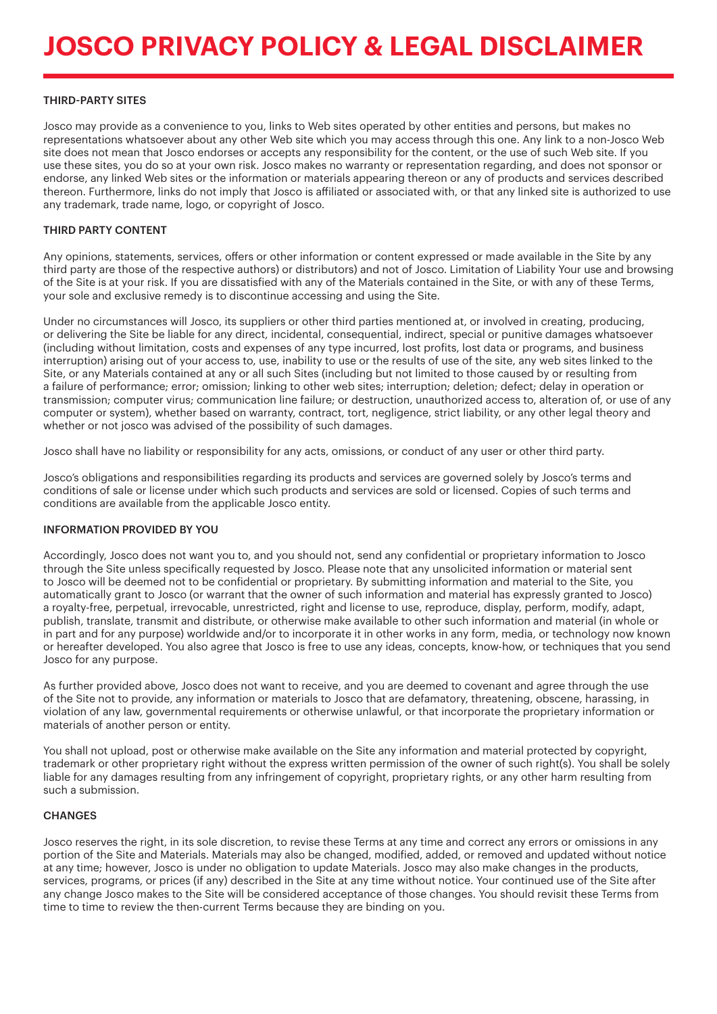# THIRD-PARTY SITES

Josco may provide as a convenience to you, links to Web sites operated by other entities and persons, but makes no representations whatsoever about any other Web site which you may access through this one. Any link to a non-Josco Web site does not mean that Josco endorses or accepts any responsibility for the content, or the use of such Web site. If you use these sites, you do so at your own risk. Josco makes no warranty or representation regarding, and does not sponsor or endorse, any linked Web sites or the information or materials appearing thereon or any of products and services described thereon. Furthermore, links do not imply that Josco is affiliated or associated with, or that any linked site is authorized to use any trademark, trade name, logo, or copyright of Josco.

### THIRD PARTY CONTENT

Any opinions, statements, services, offers or other information or content expressed or made available in the Site by any third party are those of the respective authors) or distributors) and not of Josco. Limitation of Liability Your use and browsing of the Site is at your risk. If you are dissatisfied with any of the Materials contained in the Site, or with any of these Terms, your sole and exclusive remedy is to discontinue accessing and using the Site.

Under no circumstances will Josco, its suppliers or other third parties mentioned at, or involved in creating, producing, or delivering the Site be liable for any direct, incidental, consequential, indirect, special or punitive damages whatsoever (including without limitation, costs and expenses of any type incurred, lost profits, lost data or programs, and business interruption) arising out of your access to, use, inability to use or the results of use of the site, any web sites linked to the Site, or any Materials contained at any or all such Sites (including but not limited to those caused by or resulting from a failure of performance; error; omission; linking to other web sites; interruption; deletion; defect; delay in operation or transmission; computer virus; communication line failure; or destruction, unauthorized access to, alteration of, or use of any computer or system), whether based on warranty, contract, tort, negligence, strict liability, or any other legal theory and whether or not josco was advised of the possibility of such damages.

Josco shall have no liability or responsibility for any acts, omissions, or conduct of any user or other third party.

Josco's obligations and responsibilities regarding its products and services are governed solely by Josco's terms and conditions of sale or license under which such products and services are sold or licensed. Copies of such terms and conditions are available from the applicable Josco entity.

#### INFORMATION PROVIDED BY YOU

Accordingly, Josco does not want you to, and you should not, send any confidential or proprietary information to Josco through the Site unless specifically requested by Josco. Please note that any unsolicited information or material sent to Josco will be deemed not to be confidential or proprietary. By submitting information and material to the Site, you automatically grant to Josco (or warrant that the owner of such information and material has expressly granted to Josco) a royalty-free, perpetual, irrevocable, unrestricted, right and license to use, reproduce, display, perform, modify, adapt, publish, translate, transmit and distribute, or otherwise make available to other such information and material (in whole or in part and for any purpose) worldwide and/or to incorporate it in other works in any form, media, or technology now known or hereafter developed. You also agree that Josco is free to use any ideas, concepts, know-how, or techniques that you send Josco for any purpose.

As further provided above, Josco does not want to receive, and you are deemed to covenant and agree through the use of the Site not to provide, any information or materials to Josco that are defamatory, threatening, obscene, harassing, in violation of any law, governmental requirements or otherwise unlawful, or that incorporate the proprietary information or materials of another person or entity.

You shall not upload, post or otherwise make available on the Site any information and material protected by copyright, trademark or other proprietary right without the express written permission of the owner of such right(s). You shall be solely liable for any damages resulting from any infringement of copyright, proprietary rights, or any other harm resulting from such a submission.

#### **CHANGES**

Josco reserves the right, in its sole discretion, to revise these Terms at any time and correct any errors or omissions in any portion of the Site and Materials. Materials may also be changed, modified, added, or removed and updated without notice at any time; however, Josco is under no obligation to update Materials. Josco may also make changes in the products, services, programs, or prices (if any) described in the Site at any time without notice. Your continued use of the Site after any change Josco makes to the Site will be considered acceptance of those changes. You should revisit these Terms from time to time to review the then-current Terms because they are binding on you.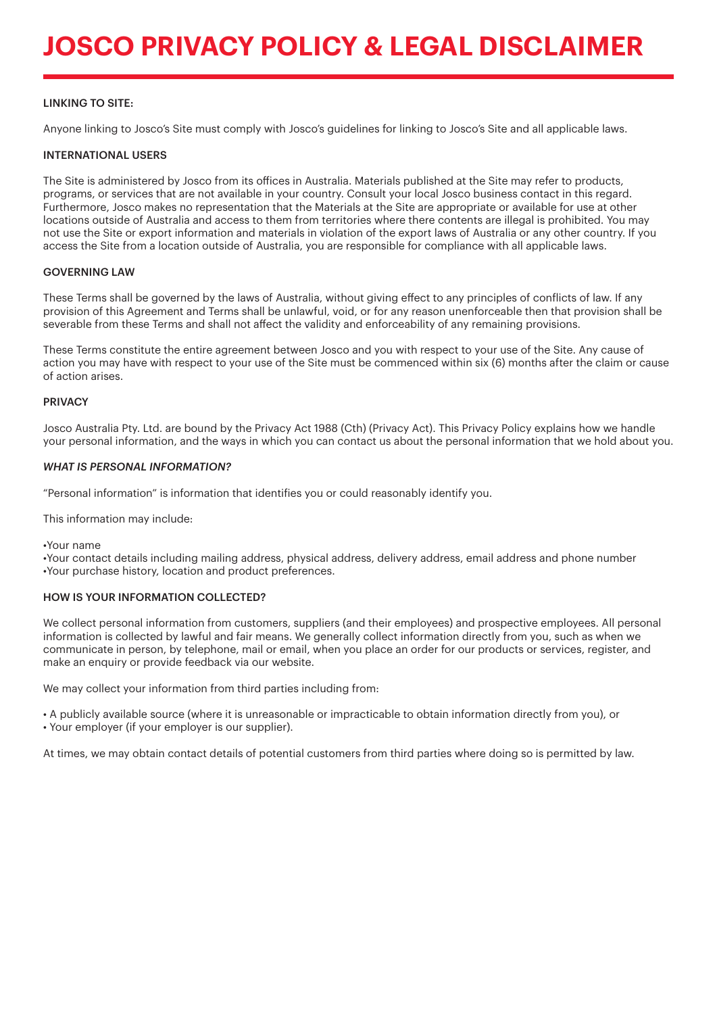# **JOSCO PRIVACY POLICY & LEGAL DISCLAIMER**

# LINKING TO SITE:

Anyone linking to Josco's Site must comply with Josco's guidelines for linking to Josco's Site and all applicable laws.

### INTERNATIONAL USERS

The Site is administered by Josco from its offices in Australia. Materials published at the Site may refer to products, programs, or services that are not available in your country. Consult your local Josco business contact in this regard. Furthermore, Josco makes no representation that the Materials at the Site are appropriate or available for use at other locations outside of Australia and access to them from territories where there contents are illegal is prohibited. You may not use the Site or export information and materials in violation of the export laws of Australia or any other country. If you access the Site from a location outside of Australia, you are responsible for compliance with all applicable laws.

### GOVERNING LAW

These Terms shall be governed by the laws of Australia, without giving effect to any principles of conflicts of law. If any provision of this Agreement and Terms shall be unlawful, void, or for any reason unenforceable then that provision shall be severable from these Terms and shall not affect the validity and enforceability of any remaining provisions.

These Terms constitute the entire agreement between Josco and you with respect to your use of the Site. Any cause of action you may have with respect to your use of the Site must be commenced within six (6) months after the claim or cause of action arises.

### **PRIVACY**

Josco Australia Pty. Ltd. are bound by the Privacy Act 1988 (Cth) (Privacy Act). This Privacy Policy explains how we handle your personal information, and the ways in which you can contact us about the personal information that we hold about you.

#### *WHAT IS PERSONAL INFORMATION?*

"Personal information" is information that identifies you or could reasonably identify you.

This information may include:

•Your name

•Your contact details including mailing address, physical address, delivery address, email address and phone number •Your purchase history, location and product preferences.

# HOW IS YOUR INFORMATION COLLECTED?

We collect personal information from customers, suppliers (and their employees) and prospective employees. All personal information is collected by lawful and fair means. We generally collect information directly from you, such as when we communicate in person, by telephone, mail or email, when you place an order for our products or services, register, and make an enquiry or provide feedback via our website.

We may collect your information from third parties including from:

• A publicly available source (where it is unreasonable or impracticable to obtain information directly from you), or • Your employer (if your employer is our supplier).

At times, we may obtain contact details of potential customers from third parties where doing so is permitted by law.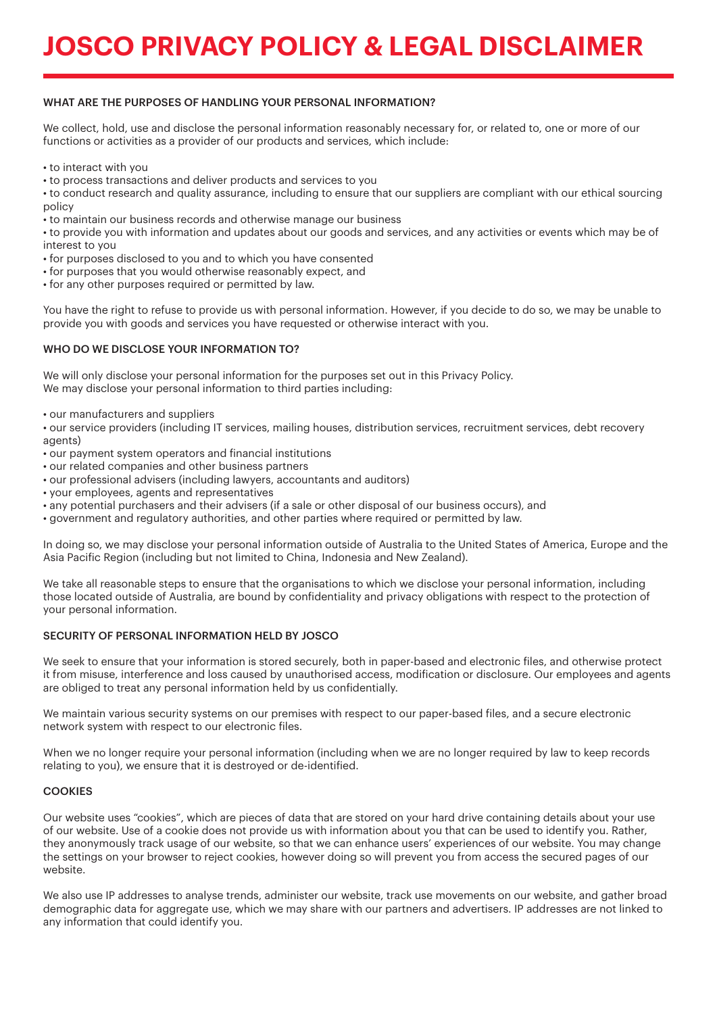# **JOSCO PRIVACY POLICY & LEGAL DISCLAIMER**

# WHAT ARE THE PURPOSES OF HANDLING YOUR PERSONAL INFORMATION?

We collect, hold, use and disclose the personal information reasonably necessary for, or related to, one or more of our functions or activities as a provider of our products and services, which include:

• to interact with you

• to process transactions and deliver products and services to you

• to conduct research and quality assurance, including to ensure that our suppliers are compliant with our ethical sourcing policy

• to maintain our business records and otherwise manage our business

• to provide you with information and updates about our goods and services, and any activities or events which may be of interest to you

- for purposes disclosed to you and to which you have consented
- for purposes that you would otherwise reasonably expect, and
- for any other purposes required or permitted by law.

You have the right to refuse to provide us with personal information. However, if you decide to do so, we may be unable to provide you with goods and services you have requested or otherwise interact with you.

# WHO DO WE DISCLOSE YOUR INFORMATION TO?

We will only disclose your personal information for the purposes set out in this Privacy Policy. We may disclose your personal information to third parties including:

• our manufacturers and suppliers

• our service providers (including IT services, mailing houses, distribution services, recruitment services, debt recovery agents)

- our payment system operators and financial institutions
- our related companies and other business partners
- our professional advisers (including lawyers, accountants and auditors)
- your employees, agents and representatives
- any potential purchasers and their advisers (if a sale or other disposal of our business occurs), and
- government and regulatory authorities, and other parties where required or permitted by law.

In doing so, we may disclose your personal information outside of Australia to the United States of America, Europe and the Asia Pacific Region (including but not limited to China, Indonesia and New Zealand).

We take all reasonable steps to ensure that the organisations to which we disclose your personal information, including those located outside of Australia, are bound by confidentiality and privacy obligations with respect to the protection of your personal information.

#### SECURITY OF PERSONAL INFORMATION HELD BY JOSCO

We seek to ensure that your information is stored securely, both in paper-based and electronic files, and otherwise protect it from misuse, interference and loss caused by unauthorised access, modification or disclosure. Our employees and agents are obliged to treat any personal information held by us confidentially.

We maintain various security systems on our premises with respect to our paper-based files, and a secure electronic network system with respect to our electronic files.

When we no longer require your personal information (including when we are no longer required by law to keep records relating to you), we ensure that it is destroyed or de-identified.

# **COOKIES**

Our website uses "cookies", which are pieces of data that are stored on your hard drive containing details about your use of our website. Use of a cookie does not provide us with information about you that can be used to identify you. Rather, they anonymously track usage of our website, so that we can enhance users' experiences of our website. You may change the settings on your browser to reject cookies, however doing so will prevent you from access the secured pages of our website.

We also use IP addresses to analyse trends, administer our website, track use movements on our website, and gather broad demographic data for aggregate use, which we may share with our partners and advertisers. IP addresses are not linked to any information that could identify you.